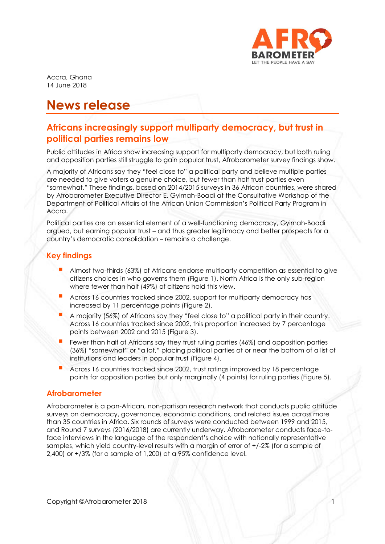

Accra, Ghana 14 June 2018

# **News release**

# **Africans increasingly support multiparty democracy, but trust in political parties remains low**

Public attitudes in Africa show increasing support for multiparty democracy, but both ruling and opposition parties still struggle to gain popular trust, Afrobarometer survey findings show.

A majority of Africans say they "feel close to" a political party and believe multiple parties are needed to give voters a genuine choice, but fewer than half trust parties even "somewhat." These findings, based on 2014/2015 surveys in 36 African countries, were shared by Afrobarometer Executive Director E. Gyimah-Boadi at the Consultative Workshop of the Department of Political Affairs of the African Union Commission's Political Party Program in Accra.

Political parties are an essential element of a well-functioning democracy, Gyimah-Boadi argued, but earning popular trust – and thus greater legitimacy and better prospects for a country's democratic consolidation – remains a challenge.

# **Key findings**

- Almost two-thirds (63%) of Africans endorse multiparty competition as essential to give citizens choices in who governs them (Figure 1). North Africa is the only sub-region where fewer than half (49%) of citizens hold this view.
- Across 16 countries tracked since 2002, support for multiparty democracy has increased by 11 percentage points (Figure 2).
- <sup>A</sup> majority (56%) of Africans say they "feel close to" a political party in their country. Across 16 countries tracked since 2002, this proportion increased by 7 percentage points between 2002 and 2015 (Figure 3).
- Fewer than half of Africans say they trust ruling parties (46%) and opposition parties (36%) "somewhat" or "a lot," placing political parties at or near the bottom of a list of institutions and leaders in popular trust (Figure 4).
- Across 16 countries tracked since 2002, trust ratings improved by 18 percentage points for opposition parties but only marginally (4 points) for ruling parties (Figure 5).

#### **Afrobarometer**

Afrobarometer is a pan-African, non-partisan research network that conducts public attitude surveys on democracy, governance, economic conditions, and related issues across more than 35 countries in Africa. Six rounds of surveys were conducted between 1999 and 2015, and Round 7 surveys (2016/2018) are currently underway. Afrobarometer conducts face-toface interviews in the language of the respondent's choice with nationally representative samples, which yield country-level results with a margin of error of +/-2% (for a sample of 2,400) or +/3% (for a sample of 1,200) at a 95% confidence level.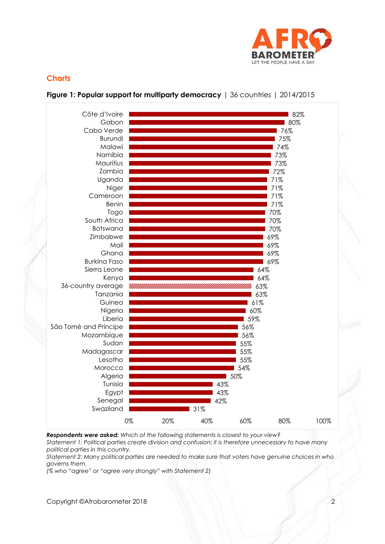

### **Charts**



#### **Figure 1: Popular support for multiparty democracy** | 36 countries | 2014/2015

*Respondents were asked: Which of the following statements is closest to your view? Statement 1: Political parties create division and confusion; it is therefore unnecessary to have many political parties in this country.*

*Statement 2: Many political parties are needed to make sure that voters have genuine choices in who governs them.*

*(% who "agree" or "agree very strongly" with Statement 2)*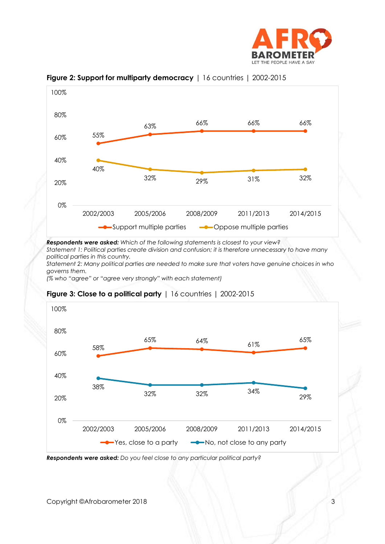



**Figure 2: Support for multiparty democracy** | 16 countries | 2002-2015

*Respondents were asked: Which of the following statements is closest to your view?*

*Statement 1: Political parties create division and confusion; it is therefore unnecessary to have many political parties in this country.*

*Statement 2: Many political parties are needed to make sure that voters have genuine choices in who governs them.*

*(% who "agree" or "agree very strongly" with each statement)*



#### **Figure 3: Close to a political party** | 16 countries | 2002-2015

*Respondents were asked: Do you feel close to any particular political party?*